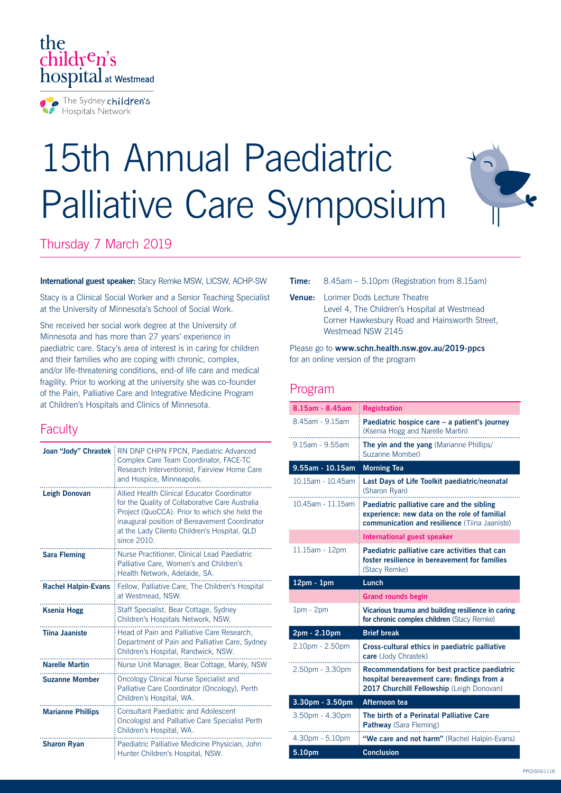

# 15th Annual Paediatric Palliative Care Symposium



## Thursday 7 March 2019

#### **International guest speaker:** Stacy Remke MSW, LICSW, ACHP-SW

Stacy is a Clinical Social Worker and a Senior Teaching Specialist at the University of Minnesota's School of Social Work.

She received her social work degree at the University of Minnesota and has more than 27 years' experience in paediatric care. Stacy's area of interest is in caring for children and their families who are coping with chronic, complex, and/or life-threatening conditions, end-of life care and medical fragility. Prior to working at the university she was co-founder of the Pain, Palliative Care and Integrative Medicine Program at Children's Hospitals and Clinics of Minnesota.

## **Faculty**

| Joan "Jody" Chrastek       | RN DNP CHPN FPCN, Paediatric Advanced<br>Complex Care Team Coordinator, FACE-TC<br>Research Interventionist, Fairview Home Care<br>and Hospice, Minneapolis.                                                                                                    |
|----------------------------|-----------------------------------------------------------------------------------------------------------------------------------------------------------------------------------------------------------------------------------------------------------------|
| <b>Leigh Donovan</b>       | Allied Health Clinical Educator Coordinator<br>for the Quality of Collaborative Care Australia<br>Project (QuoCCA). Prior to which she held the<br>inaugural position of Bereavement Coordinator<br>at the Lady Cilento Children's Hospital, QLD<br>since 2010. |
| <b>Sara Fleming</b>        | Nurse Practitioner, Clinical Lead Paediatric<br>Palliative Care, Women's and Children's<br>Health Network, Adelaide, SA.                                                                                                                                        |
| <b>Rachel Halpin-Evans</b> | Fellow, Palliative Care, The Children's Hospital<br>at Westmead, NSW.                                                                                                                                                                                           |
| <b>Ksenia Hogg</b>         | Staff Specialist, Bear Cottage, Sydney<br>Children's Hospitals Network, NSW.                                                                                                                                                                                    |
| <b>Tiina Jaaniste</b>      | Head of Pain and Palliative Care Research,<br>Department of Pain and Palliative Care, Sydney<br>Children's Hospital, Randwick, NSW.                                                                                                                             |
| <b>Narelle Martin</b>      | Nurse Unit Manager, Bear Cottage, Manly, NSW                                                                                                                                                                                                                    |
| <b>Suzanne Momber</b>      | Oncology Clinical Nurse Specialist and<br>Palliative Care Coordinator (Oncology), Perth<br>Children's Hospital, WA.                                                                                                                                             |
| <b>Marianne Phillips</b>   | <b>Consultant Paediatric and Adolescent</b><br>Oncologist and Palliative Care Specialist Perth<br>Children's Hospital, WA.                                                                                                                                      |
| <b>Sharon Ryan</b>         | Paediatric Palliative Medicine Physician, John<br>Hunter Children's Hospital, NSW.                                                                                                                                                                              |

#### **Time:** 8.45am – 5.10pm (Registration from 8.15am)

**Venue:** Lorimer Dods Lecture Theatre Level 4, The Children's Hospital at Westmead Corner Hawkesbury Road and Hainsworth Street, Westmead NSW 2145

Please go to **www.schn.health.nsw.gov.au/2019-ppcs**  for an online version of the program

### Program

| 8.15am - 8.45am   | <b>Registration</b>                                                                                                                                |
|-------------------|----------------------------------------------------------------------------------------------------------------------------------------------------|
| 8.45am - 9.15am   | Paediatric hospice care - a patient's journey<br>(Ksenia Hogg and Narelle Martin)                                                                  |
| 9.15am - 9.55am   | <b>The yin and the yang</b> (Marianne Phillips/<br>Suzanne Momber)                                                                                 |
| 9.55am - 10.15am  | <b>Morning Tea</b>                                                                                                                                 |
| 10.15am - 10.45am | Last Days of Life Toolkit paediatric/neonatal<br>(Sharon Ryan)                                                                                     |
| 10.45am - 11.15am | Paediatric palliative care and the sibling<br>experience: new data on the role of familial<br><b>communication and resilience</b> (Tiina Jaaniste) |
|                   | International guest speaker                                                                                                                        |
| 11.15am - 12pm    | Paediatric palliative care activities that can<br>foster resilience in bereavement for families<br>(Stacy Remke)                                   |
| $12pm - 1pm$      | Lunch                                                                                                                                              |
|                   |                                                                                                                                                    |
|                   | <b>Grand rounds begin</b>                                                                                                                          |
| $1pm - 2pm$       | Vicarious trauma and building resilience in caring<br>for chronic complex children (Stacy Remke)                                                   |
| 2pm - 2.10pm      | <b>Brief break</b>                                                                                                                                 |
| 2.10pm - 2.50pm   | Cross-cultural ethics in paediatric palliative<br>care (Jody Chrastek)                                                                             |
| 2.50pm - 3.30pm   | Recommendations for best practice paediatric<br>hospital bereavement care: findings from a<br>2017 Churchill Fellowship (Leigh Donovan)            |
| 3.30pm - 3.50pm   | Afternoon tea                                                                                                                                      |
| 3.50pm - 4.30pm   | The birth of a Perinatal Palliative Care<br><b>Pathway</b> (Sara Fleming)                                                                          |
| 4.30pm - 5.10pm   | "We care and not harm" (Rachel Halpin-Evans)                                                                                                       |